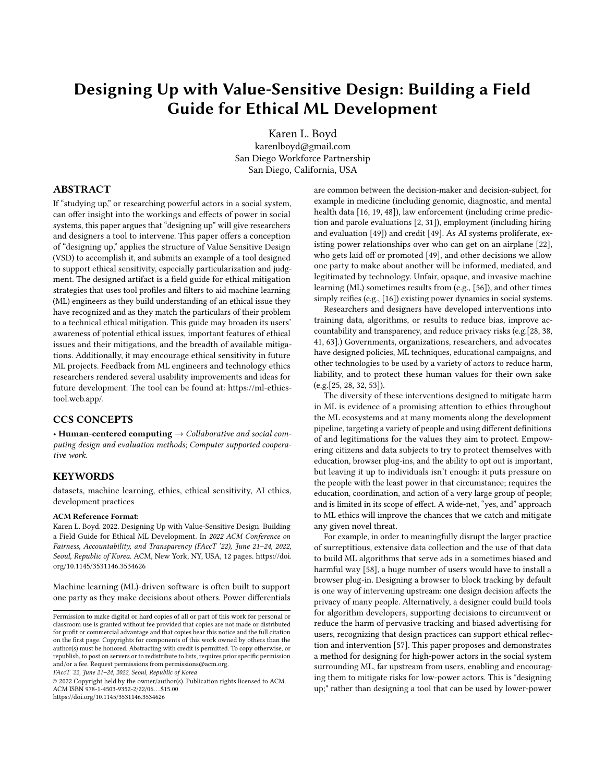# Designing Up with Value-Sensitive Design: Building a Field Guide for Ethical ML Development

[Karen L. Boyd](https://orcid.org/0000-0003-0620-9908) karenlboyd@gmail.com San Diego Workforce Partnership San Diego, California, USA

# ABSTRACT

If "studying up," or researching powerful actors in a social system, can offer insight into the workings and effects of power in social systems, this paper argues that "designing up" will give researchers and designers a tool to intervene. This paper offers a conception of "designing up," applies the structure of Value Sensitive Design (VSD) to accomplish it, and submits an example of a tool designed to support ethical sensitivity, especially particularization and judgment. The designed artifact is a field guide for ethical mitigation strategies that uses tool profiles and filters to aid machine learning (ML) engineers as they build understanding of an ethical issue they have recognized and as they match the particulars of their problem to a technical ethical mitigation. This guide may broaden its users' awareness of potential ethical issues, important features of ethical issues and their mitigations, and the breadth of available mitigations. Additionally, it may encourage ethical sensitivity in future ML projects. Feedback from ML engineers and technology ethics researchers rendered several usability improvements and ideas for future development. The tool can be found at: https://ml-ethicstool.web.app/.

#### CCS CONCEPTS

• Human-centered computing  $\rightarrow$  Collaborative and social computing design and evaluation methods; Computer supported cooperative work.

# **KEYWORDS**

datasets, machine learning, ethics, ethical sensitivity, AI ethics, development practices

#### ACM Reference Format:

Karen L. Boyd. 2022. Designing Up with Value-Sensitive Design: Building a Field Guide for Ethical ML Development. In 2022 ACM Conference on Fairness, Accountability, and Transparency (FAccT '22), June 21-24, 2022, Seoul, Republic of Korea. ACM, New York, NY, USA, [12](#page-11-0) pages. [https://doi.](https://doi.org/10.1145/3531146.3534626) [org/10.1145/3531146.3534626](https://doi.org/10.1145/3531146.3534626)

Machine learning (ML)-driven software is often built to support one party as they make decisions about others. Power differentials

FAccT '22, June 21–24, 2022, Seoul, Republic of Korea

© 2022 Copyright held by the owner/author(s). Publication rights licensed to ACM. ACM ISBN 978-1-4503-9352-2/22/06. . . \$15.00 <https://doi.org/10.1145/3531146.3534626>

are common between the decision-maker and decision-subject, for example in medicine (including genomic, diagnostic, and mental health data [\[16,](#page-9-0) [19,](#page-9-1) [48\]](#page-10-0)), law enforcement (including crime prediction and parole evaluations [\[2,](#page-9-2) [31\]](#page-9-3)), employment (including hiring and evaluation [\[49\]](#page-10-1)) and credit [\[49\]](#page-10-1). As AI systems proliferate, existing power relationships over who can get on an airplane [\[22\]](#page-9-4), who gets laid off or promoted [\[49\]](#page-10-1), and other decisions we allow one party to make about another will be informed, mediated, and legitimated by technology. Unfair, opaque, and invasive machine learning (ML) sometimes results from (e.g., [\[56\]](#page-10-2)), and other times simply reifies (e.g., [\[16\]](#page-9-0)) existing power dynamics in social systems.

Researchers and designers have developed interventions into training data, algorithms, or results to reduce bias, improve accountability and transparency, and reduce privacy risks (e.g.[\[28,](#page-9-5) [38,](#page-10-3) [41,](#page-10-4) [63\]](#page-10-5).) Governments, organizations, researchers, and advocates have designed policies, ML techniques, educational campaigns, and other technologies to be used by a variety of actors to reduce harm, liability, and to protect these human values for their own sake (e.g.[\[25,](#page-9-6) [28,](#page-9-5) [32,](#page-10-6) [53\]](#page-10-7)).

The diversity of these interventions designed to mitigate harm in ML is evidence of a promising attention to ethics throughout the ML ecosystems and at many moments along the development pipeline, targeting a variety of people and using different definitions of and legitimations for the values they aim to protect. Empowering citizens and data subjects to try to protect themselves with education, browser plug-ins, and the ability to opt out is important, but leaving it up to individuals isn't enough: it puts pressure on the people with the least power in that circumstance; requires the education, coordination, and action of a very large group of people; and is limited in its scope of effect. A wide-net, "yes, and" approach to ML ethics will improve the chances that we catch and mitigate any given novel threat.

For example, in order to meaningfully disrupt the larger practice of surreptitious, extensive data collection and the use of that data to build ML algorithms that serve ads in a sometimes biased and harmful way [\[58\]](#page-10-8), a huge number of users would have to install a browser plug-in. Designing a browser to block tracking by default is one way of intervening upstream: one design decision affects the privacy of many people. Alternatively, a designer could build tools for algorithm developers, supporting decisions to circumvent or reduce the harm of pervasive tracking and biased advertising for users, recognizing that design practices can support ethical reflection and intervention [\[57\]](#page-10-9). This paper proposes and demonstrates a method for designing for high-power actors in the social system surrounding ML, far upstream from users, enabling and encouraging them to mitigate risks for low-power actors. This is "designing up;" rather than designing a tool that can be used by lower-power

Permission to make digital or hard copies of all or part of this work for personal or classroom use is granted without fee provided that copies are not made or distributed for profit or commercial advantage and that copies bear this notice and the full citation on the first page. Copyrights for components of this work owned by others than the author(s) must be honored. Abstracting with credit is permitted. To copy otherwise, or republish, to post on servers or to redistribute to lists, requires prior specific permission and/or a fee. Request permissions from permissions@acm.org.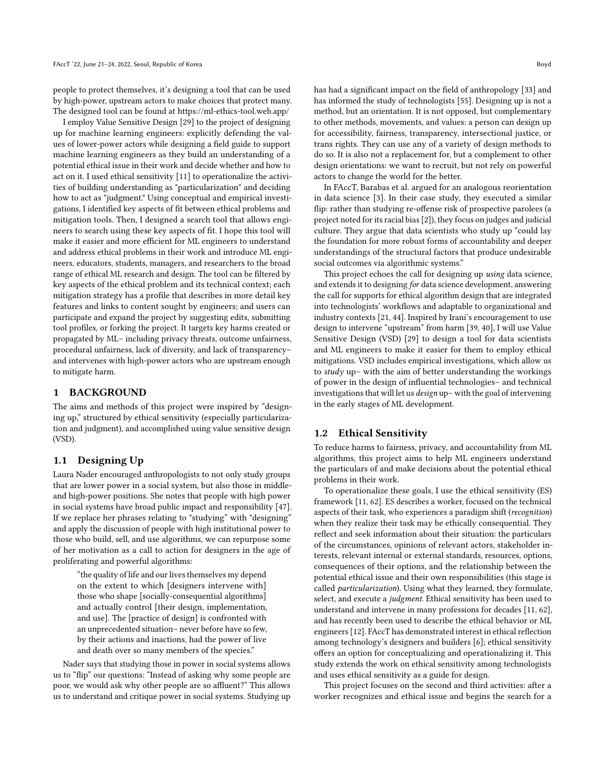people to protect themselves, it's designing a tool that can be used by high-power, upstream actors to make choices that protect many. The designed tool can be found at https://ml-ethics-tool.web.app/

I employ Value Sensitive Design [\[29\]](#page-9-7) to the project of designing up for machine learning engineers: explicitly defending the values of lower-power actors while designing a field guide to support machine learning engineers as they build an understanding of a potential ethical issue in their work and decide whether and how to act on it. I used ethical sensitivity [\[11\]](#page-9-8) to operationalize the activities of building understanding as "particularization" and deciding how to act as "judgment." Using conceptual and empirical investigations, I identified key aspects of fit between ethical problems and mitigation tools. Then, I designed a search tool that allows engineers to search using these key aspects of fit. I hope this tool will make it easier and more efficient for ML engineers to understand and address ethical problems in their work and introduce ML engineers, educators, students, managers, and researchers to the broad range of ethical ML research and design. The tool can be filtered by key aspects of the ethical problem and its technical context; each mitigation strategy has a profile that describes in more detail key features and links to content sought by engineers; and users can participate and expand the project by suggesting edits, submitting tool profiles, or forking the project. It targets key harms created or propagated by ML– including privacy threats, outcome unfairness, procedural unfairness, lack of diversity, and lack of transparency– and intervenes with high-power actors who are upstream enough to mitigate harm.

# 1 BACKGROUND

The aims and methods of this project were inspired by "designing up," structured by ethical sensitivity (especially particularization and judgment), and accomplished using value sensitive design (VSD).

## 1.1 Designing Up

Laura Nader encouraged anthropologists to not only study groups that are lower power in a social system, but also those in middleand high-power positions. She notes that people with high power in social systems have broad public impact and responsibility [\[47\]](#page-10-10). If we replace her phrases relating to "studying" with "designing" and apply the discussion of people with high institutional power to those who build, sell, and use algorithms, we can repurpose some of her motivation as a call to action for designers in the age of proliferating and powerful algorithms:

"the quality of life and our lives themselves my depend on the extent to which [designers intervene with] those who shape [socially-consequential algorithms] and actually control [their design, implementation, and use]. The [practice of design] is confronted with an unprecedented situation– never before have so few, by their actions and inactions, had the power of live and death over so many members of the species."

Nader says that studying those in power in social systems allows us to "flip" our questions: "Instead of asking why some people are poor, we would ask why other people are so affluent?" This allows us to understand and critique power in social systems. Studying up has had a significant impact on the field of anthropology [\[33\]](#page-10-11) and has informed the study of technologists [\[55\]](#page-10-12). Designing up is not a method, but an orientation. It is not opposed, but complementary to other methods, movements, and values: a person can design up for accessibility, fairness, transparency, intersectional justice, or trans rights. They can use any of a variety of design methods to do so. It is also not a replacement for, but a complement to other design orientations: we want to recruit, but not rely on powerful actors to change the world for the better.

In FAccT, Barabas et al. argued for an analogous reorientation in data science [\[3\]](#page-9-9). In their case study, they executed a similar flip: rather than studying re-offense risk of prospective parolees (a project noted for its racial bias [\[2\]](#page-9-2)), they focus on judges and judicial culture. They argue that data scientists who study up "could lay the foundation for more robust forms of accountability and deeper understandings of the structural factors that produce undesirable social outcomes via algorithmic systems."

This project echoes the call for designing up using data science, and extends it to designing for data science development, answering the call for supports for ethical algorithm design that are integrated into technologists' workflows and adaptable to organizational and industry contexts [\[21,](#page-9-10) [44\]](#page-10-13). Inspired by Irani's encouragement to use design to intervene "upstream" from harm [\[39,](#page-10-14) [40\]](#page-10-15), I will use Value Sensitive Design (VSD) [\[29\]](#page-9-7) to design a tool for data scientists and ML engineers to make it easier for them to employ ethical mitigations. VSD includes empirical investigations, which allow us to  $study$  up– with the aim of better understanding the workings of power in the design of influential technologies– and technical investigations that will let us design up– with the goal of intervening in the early stages of ML development.

#### 1.2 Ethical Sensitivity

To reduce harms to fairness, privacy, and accountability from ML algorithms, this project aims to help ML engineers understand the particulars of and make decisions about the potential ethical problems in their work.

To operationalize these goals, I use the ethical sensitivity (ES) framework [\[11,](#page-9-8) [62\]](#page-10-16). ES describes a worker, focused on the technical aspects of their task, who experiences a paradigm shift (recognition) when they realize their task may be ethically consequential. They reflect and seek information about their situation: the particulars of the circumstances, opinions of relevant actors, stakeholder interests, relevant internal or external standards, resources, options, consequences of their options, and the relationship between the potential ethical issue and their own responsibilities (this stage is called particularization). Using what they learned, they formulate, select, and execute a judgment. Ethical sensitivity has been used to understand and intervene in many professions for decades [\[11,](#page-9-8) [62\]](#page-10-16), and has recently been used to describe the ethical behavior or ML engineers [\[12\]](#page-9-11). FAccT has demonstrated interest in ethical reflection among technology's designers and builders [\[6\]](#page-9-12); ethical sensitivity offers an option for conceptualizing and operationalizing it. This study extends the work on ethical sensitivity among technologists and uses ethical sensitivity as a guide for design.

This project focuses on the second and third activities: after a worker recognizes and ethical issue and begins the search for a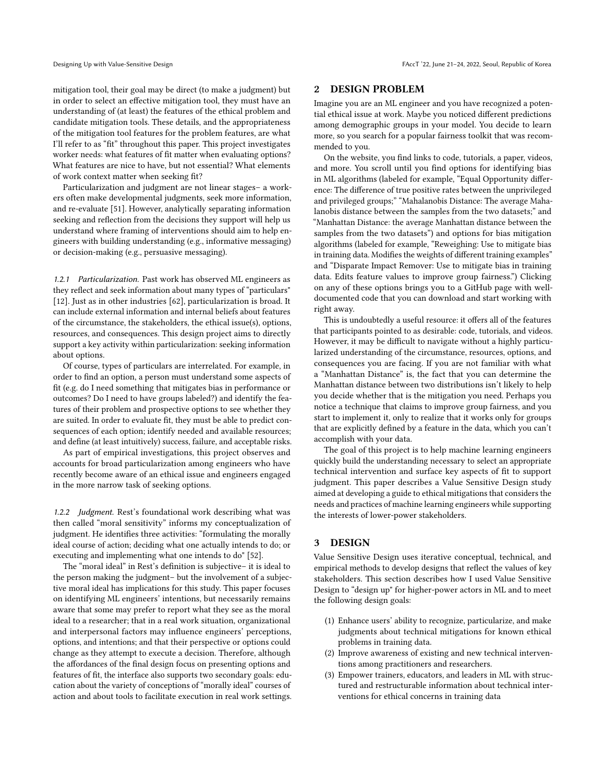mitigation tool, their goal may be direct (to make a judgment) but in order to select an effective mitigation tool, they must have an understanding of (at least) the features of the ethical problem and candidate mitigation tools. These details, and the appropriateness of the mitigation tool features for the problem features, are what I'll refer to as "fit" throughout this paper. This project investigates worker needs: what features of fit matter when evaluating options? What features are nice to have, but not essential? What elements of work context matter when seeking fit?

Particularization and judgment are not linear stages– a workers often make developmental judgments, seek more information, and re-evaluate [\[51\]](#page-10-17). However, analytically separating information seeking and reflection from the decisions they support will help us understand where framing of interventions should aim to help engineers with building understanding (e.g., informative messaging) or decision-making (e.g., persuasive messaging).

1.2.1 Particularization. Past work has observed ML engineers as they reflect and seek information about many types of "particulars" [\[12\]](#page-9-11). Just as in other industries [\[62\]](#page-10-16), particularization is broad. It can include external information and internal beliefs about features of the circumstance, the stakeholders, the ethical issue(s), options, resources, and consequences. This design project aims to directly support a key activity within particularization: seeking information about options.

Of course, types of particulars are interrelated. For example, in order to find an option, a person must understand some aspects of fit (e.g. do I need something that mitigates bias in performance or outcomes? Do I need to have groups labeled?) and identify the features of their problem and prospective options to see whether they are suited. In order to evaluate fit, they must be able to predict consequences of each option; identify needed and available resources; and define (at least intuitively) success, failure, and acceptable risks.

As part of empirical investigations, this project observes and accounts for broad particularization among engineers who have recently become aware of an ethical issue and engineers engaged in the more narrow task of seeking options.

1.2.2 Judgment. Rest's foundational work describing what was then called "moral sensitivity" informs my conceptualization of judgment. He identifies three activities: "formulating the morally ideal course of action; deciding what one actually intends to do; or executing and implementing what one intends to do" [\[52\]](#page-10-18).

The "moral ideal" in Rest's definition is subjective– it is ideal to the person making the judgment– but the involvement of a subjective moral ideal has implications for this study. This paper focuses on identifying ML engineers' intentions, but necessarily remains aware that some may prefer to report what they see as the moral ideal to a researcher; that in a real work situation, organizational and interpersonal factors may influence engineers' perceptions, options, and intentions; and that their perspective or options could change as they attempt to execute a decision. Therefore, although the affordances of the final design focus on presenting options and features of fit, the interface also supports two secondary goals: education about the variety of conceptions of "morally ideal" courses of action and about tools to facilitate execution in real work settings.

# 2 DESIGN PROBLEM

Imagine you are an ML engineer and you have recognized a potential ethical issue at work. Maybe you noticed different predictions among demographic groups in your model. You decide to learn more, so you search for a popular fairness toolkit that was recommended to you.

On the website, you find links to code, tutorials, a paper, videos, and more. You scroll until you find options for identifying bias in ML algorithms (labeled for example, "Equal Opportunity difference: The difference of true positive rates between the unprivileged and privileged groups;" "Mahalanobis Distance: The average Mahalanobis distance between the samples from the two datasets;" and "Manhattan Distance: the average Manhattan distance between the samples from the two datasets") and options for bias mitigation algorithms (labeled for example, "Reweighing: Use to mitigate bias in training data. Modifies the weights of different training examples" and "Disparate Impact Remover: Use to mitigate bias in training data. Edits feature values to improve group fairness.") Clicking on any of these options brings you to a GitHub page with welldocumented code that you can download and start working with right away.

This is undoubtedly a useful resource: it offers all of the features that participants pointed to as desirable: code, tutorials, and videos. However, it may be difficult to navigate without a highly particularized understanding of the circumstance, resources, options, and consequences you are facing. If you are not familiar with what a "Manhattan Distance" is, the fact that you can determine the Manhattan distance between two distributions isn't likely to help you decide whether that is the mitigation you need. Perhaps you notice a technique that claims to improve group fairness, and you start to implement it, only to realize that it works only for groups that are explicitly defined by a feature in the data, which you can't accomplish with your data.

The goal of this project is to help machine learning engineers quickly build the understanding necessary to select an appropriate technical intervention and surface key aspects of fit to support judgment. This paper describes a Value Sensitive Design study aimed at developing a guide to ethical mitigations that considers the needs and practices of machine learning engineers while supporting the interests of lower-power stakeholders.

# 3 DESIGN

Value Sensitive Design uses iterative conceptual, technical, and empirical methods to develop designs that reflect the values of key stakeholders. This section describes how I used Value Sensitive Design to "design up" for higher-power actors in ML and to meet the following design goals:

- (1) Enhance users' ability to recognize, particularize, and make judgments about technical mitigations for known ethical problems in training data.
- (2) Improve awareness of existing and new technical interventions among practitioners and researchers.
- (3) Empower trainers, educators, and leaders in ML with structured and restructurable information about technical interventions for ethical concerns in training data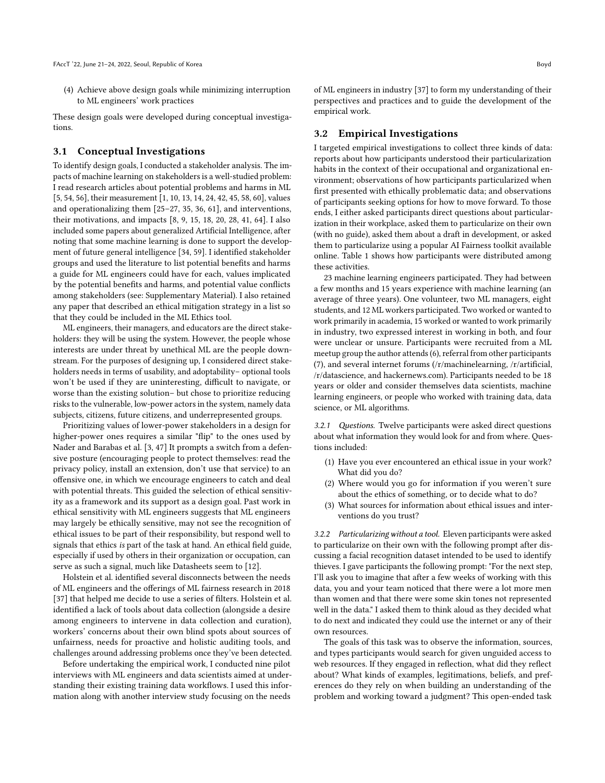(4) Achieve above design goals while minimizing interruption to ML engineers' work practices

These design goals were developed during conceptual investigations.

#### 3.1 Conceptual Investigations

To identify design goals, I conducted a stakeholder analysis. The impacts of machine learning on stakeholders is a well-studied problem: I read research articles about potential problems and harms in ML [\[5,](#page-9-13) [54,](#page-10-19) [56\]](#page-10-2), their measurement [\[1,](#page-9-14) [10,](#page-9-15) [13,](#page-9-16) [14,](#page-9-17) [24,](#page-9-18) [42,](#page-10-20) [45,](#page-10-21) [58,](#page-10-8) [60\]](#page-10-22), values and operationalizing them [\[25–](#page-9-6)[27,](#page-9-19) [35,](#page-10-23) [36,](#page-10-24) [61\]](#page-10-25), and interventions, their motivations, and impacts [\[8,](#page-9-20) [9,](#page-9-21) [15,](#page-9-22) [18,](#page-9-23) [20,](#page-9-24) [28,](#page-9-5) [41,](#page-10-4) [64\]](#page-10-26). I also included some papers about generalized Artificial Intelligence, after noting that some machine learning is done to support the development of future general intelligence [\[34,](#page-10-27) [59\]](#page-10-28). I identified stakeholder groups and used the literature to list potential benefits and harms a guide for ML engineers could have for each, values implicated by the potential benefits and harms, and potential value conflicts among stakeholders (see: Supplementary Material). I also retained any paper that described an ethical mitigation strategy in a list so that they could be included in the ML Ethics tool.

ML engineers, their managers, and educators are the direct stakeholders: they will be using the system. However, the people whose interests are under threat by unethical ML are the people downstream. For the purposes of designing up, I considered direct stakeholders needs in terms of usability, and adoptability– optional tools won't be used if they are uninteresting, difficult to navigate, or worse than the existing solution– but chose to prioritize reducing risks to the vulnerable, low-power actors in the system, namely data subjects, citizens, future citizens, and underrepresented groups.

Prioritizing values of lower-power stakeholders in a design for higher-power ones requires a similar "flip" to the ones used by Nader and Barabas et al. [\[3,](#page-9-9) [47\]](#page-10-10) It prompts a switch from a defensive posture (encouraging people to protect themselves: read the privacy policy, install an extension, don't use that service) to an offensive one, in which we encourage engineers to catch and deal with potential threats. This guided the selection of ethical sensitivity as a framework and its support as a design goal. Past work in ethical sensitivity with ML engineers suggests that ML engineers may largely be ethically sensitive, may not see the recognition of ethical issues to be part of their responsibility, but respond well to signals that ethics is part of the task at hand. An ethical field guide, especially if used by others in their organization or occupation, can serve as such a signal, much like Datasheets seem to [\[12\]](#page-9-11).

Holstein et al. identified several disconnects between the needs of ML engineers and the offerings of ML fairness research in 2018 [\[37\]](#page-10-29) that helped me decide to use a series of filters. Holstein et al. identified a lack of tools about data collection (alongside a desire among engineers to intervene in data collection and curation), workers' concerns about their own blind spots about sources of unfairness, needs for proactive and holistic auditing tools, and challenges around addressing problems once they've been detected.

Before undertaking the empirical work, I conducted nine pilot interviews with ML engineers and data scientists aimed at understanding their existing training data workflows. I used this information along with another interview study focusing on the needs

of ML engineers in industry [\[37\]](#page-10-29) to form my understanding of their perspectives and practices and to guide the development of the empirical work.

## 3.2 Empirical Investigations

I targeted empirical investigations to collect three kinds of data: reports about how participants understood their particularization habits in the context of their occupational and organizational environment; observations of how participants particularized when first presented with ethically problematic data; and observations of participants seeking options for how to move forward. To those ends, I either asked participants direct questions about particularization in their workplace, asked them to particularize on their own (with no guide), asked them about a draft in development, or asked them to particularize using a popular AI Fairness toolkit available online. Table [1](#page-4-0) shows how participants were distributed among these activities.

23 machine learning engineers participated. They had between a few months and 15 years experience with machine learning (an average of three years). One volunteer, two ML managers, eight students, and 12 ML workers participated. Two worked or wanted to work primarily in academia, 15 worked or wanted to work primarily in industry, two expressed interest in working in both, and four were unclear or unsure. Participants were recruited from a ML meetup group the author attends (6), referral from other participants (7), and several internet forums (/r/machinelearning, /r/artificial, /r/datascience, and hackernews.com). Participants needed to be 18 years or older and consider themselves data scientists, machine learning engineers, or people who worked with training data, data science, or ML algorithms.

3.2.1 Questions. Twelve participants were asked direct questions about what information they would look for and from where. Questions included:

- (1) Have you ever encountered an ethical issue in your work? What did you do?
- (2) Where would you go for information if you weren't sure about the ethics of something, or to decide what to do?
- (3) What sources for information about ethical issues and interventions do you trust?

3.2.2 Particularizing without a tool. Eleven participants were asked to particularize on their own with the following prompt after discussing a facial recognition dataset intended to be used to identify thieves. I gave participants the following prompt: "For the next step, I'll ask you to imagine that after a few weeks of working with this data, you and your team noticed that there were a lot more men than women and that there were some skin tones not represented well in the data." I asked them to think aloud as they decided what to do next and indicated they could use the internet or any of their own resources.

The goals of this task was to observe the information, sources, and types participants would search for given unguided access to web resources. If they engaged in reflection, what did they reflect about? What kinds of examples, legitimations, beliefs, and preferences do they rely on when building an understanding of the problem and working toward a judgment? This open-ended task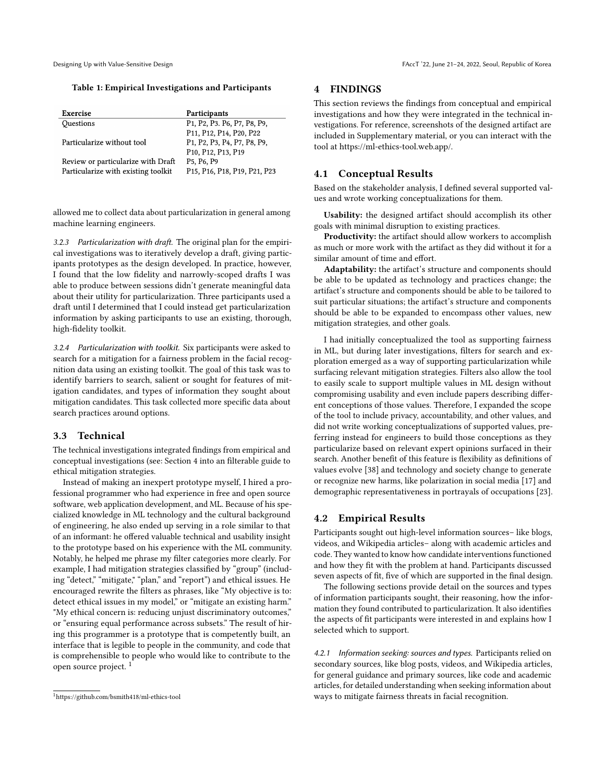<span id="page-4-0"></span>

#### Table 1: Empirical Investigations and Participants

| Exercise                            | Participants                                                                                                           |
|-------------------------------------|------------------------------------------------------------------------------------------------------------------------|
| Questions                           | P <sub>1</sub> , P <sub>2</sub> , P <sub>3</sub> , P <sub>6</sub> , P <sub>7</sub> , P <sub>8</sub> , P <sub>9</sub> , |
|                                     | P11, P12, P14, P20, P22                                                                                                |
| Particularize without tool          | P <sub>1</sub> , P <sub>2</sub> , P <sub>3</sub> , P <sub>4</sub> , P <sub>7</sub> , P <sub>8</sub> , P <sub>9</sub> , |
|                                     | P <sub>10</sub> , P <sub>12</sub> , P <sub>13</sub> , P <sub>19</sub>                                                  |
| Review or particularize with Draft  | P <sub>5</sub> , P <sub>6</sub> , P <sub>9</sub>                                                                       |
| Particularize with existing toolkit | P <sub>15</sub> , P <sub>16</sub> , P <sub>18</sub> , P <sub>19</sub> , P <sub>21</sub> , P <sub>23</sub>              |

allowed me to collect data about particularization in general among machine learning engineers.

3.2.3 Particularization with draft. The original plan for the empirical investigations was to iteratively develop a draft, giving participants prototypes as the design developed. In practice, however, I found that the low fidelity and narrowly-scoped drafts I was able to produce between sessions didn't generate meaningful data about their utility for particularization. Three participants used a draft until I determined that I could instead get particularization information by asking participants to use an existing, thorough, high-fidelity toolkit.

3.2.4 Particularization with toolkit. Six participants were asked to search for a mitigation for a fairness problem in the facial recognition data using an existing toolkit. The goal of this task was to identify barriers to search, salient or sought for features of mitigation candidates, and types of information they sought about mitigation candidates. This task collected more specific data about search practices around options.

## 3.3 Technical

The technical investigations integrated findings from empirical and conceptual investigations (see: Section [4](#page-4-1) into an filterable guide to ethical mitigation strategies.

Instead of making an inexpert prototype myself, I hired a professional programmer who had experience in free and open source software, web application development, and ML. Because of his specialized knowledge in ML technology and the cultural background of engineering, he also ended up serving in a role similar to that of an informant: he offered valuable technical and usability insight to the prototype based on his experience with the ML community. Notably, he helped me phrase my filter categories more clearly. For example, I had mitigation strategies classified by "group" (including "detect," "mitigate," "plan," and "report") and ethical issues. He encouraged rewrite the filters as phrases, like "My objective is to: detect ethical issues in my model," or "mitigate an existing harm." "My ethical concern is: reducing unjust discriminatory outcomes," or "ensuring equal performance across subsets." The result of hiring this programmer is a prototype that is competently built, an interface that is legible to people in the community, and code that is comprehensible to people who would like to contribute to the open source project. [1](#page-4-2)

# <span id="page-4-1"></span>4 FINDINGS

This section reviews the findings from conceptual and empirical investigations and how they were integrated in the technical investigations. For reference, screenshots of the designed artifact are included in Supplementary material, or you can interact with the tool at https://ml-ethics-tool.web.app/.

## 4.1 Conceptual Results

Based on the stakeholder analysis, I defined several supported values and wrote working conceptualizations for them.

Usability: the designed artifact should accomplish its other goals with minimal disruption to existing practices.

Productivity: the artifact should allow workers to accomplish as much or more work with the artifact as they did without it for a similar amount of time and effort.

Adaptability: the artifact's structure and components should be able to be updated as technology and practices change; the artifact's structure and components should be able to be tailored to suit particular situations; the artifact's structure and components should be able to be expanded to encompass other values, new mitigation strategies, and other goals.

I had initially conceptualized the tool as supporting fairness in ML, but during later investigations, filters for search and exploration emerged as a way of supporting particularization while surfacing relevant mitigation strategies. Filters also allow the tool to easily scale to support multiple values in ML design without compromising usability and even include papers describing different conceptions of those values. Therefore, I expanded the scope of the tool to include privacy, accountability, and other values, and did not write working conceptualizations of supported values, preferring instead for engineers to build those conceptions as they particularize based on relevant expert opinions surfaced in their search. Another benefit of this feature is flexibility as definitions of values evolve [\[38\]](#page-10-3) and technology and society change to generate or recognize new harms, like polarization in social media [\[17\]](#page-9-25) and demographic representativeness in portrayals of occupations [\[23\]](#page-9-26).

## 4.2 Empirical Results

Participants sought out high-level information sources– like blogs, videos, and Wikipedia articles– along with academic articles and code. They wanted to know how candidate interventions functioned and how they fit with the problem at hand. Participants discussed seven aspects of fit, five of which are supported in the final design.

The following sections provide detail on the sources and types of information participants sought, their reasoning, how the information they found contributed to particularization. It also identifies the aspects of fit participants were interested in and explains how I selected which to support.

4.2.1 Information seeking: sources and types. Participants relied on secondary sources, like blog posts, videos, and Wikipedia articles, for general guidance and primary sources, like code and academic articles, for detailed understanding when seeking information about ways to mitigate fairness threats in facial recognition.

<span id="page-4-2"></span><sup>1</sup>https://github.com/bsmith418/ml-ethics-tool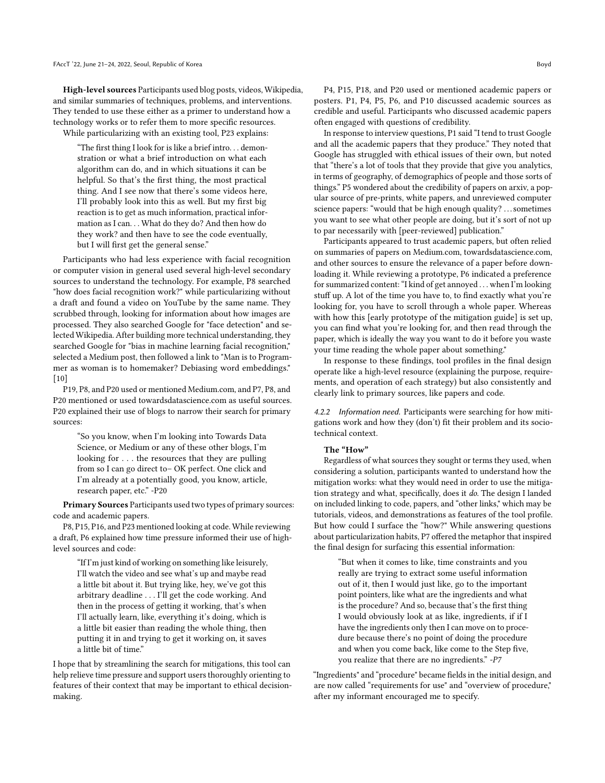High-level sources Participants used blog posts, videos, Wikipedia, and similar summaries of techniques, problems, and interventions. They tended to use these either as a primer to understand how a technology works or to refer them to more specific resources. While particularizing with an existing tool, P23 explains:

"The first thing I look for is like a brief intro. . . demonstration or what a brief introduction on what each algorithm can do, and in which situations it can be helpful. So that's the first thing, the most practical thing. And I see now that there's some videos here, I'll probably look into this as well. But my first big reaction is to get as much information, practical information as I can. . . What do they do? And then how do they work? and then have to see the code eventually, but I will first get the general sense."

Participants who had less experience with facial recognition or computer vision in general used several high-level secondary sources to understand the technology. For example, P8 searched "how does facial recognition work?" while particularizing without a draft and found a video on YouTube by the same name. They scrubbed through, looking for information about how images are processed. They also searched Google for "face detection" and selected Wikipedia. After building more technical understanding, they searched Google for "bias in machine learning facial recognition," selected a Medium post, then followed a link to "Man is to Programmer as woman is to homemaker? Debiasing word embeddings." [\[10\]](#page-9-15)

P19, P8, and P20 used or mentioned Medium.com, and P7, P8, and P20 mentioned or used towardsdatascience.com as useful sources. P20 explained their use of blogs to narrow their search for primary sources:

"So you know, when I'm looking into Towards Data Science, or Medium or any of these other blogs, I'm looking for . . . the resources that they are pulling from so I can go direct to– OK perfect. One click and I'm already at a potentially good, you know, article, research paper, etc." -P20

Primary Sources Participants used two types of primary sources: code and academic papers.

P8, P15, P16, and P23 mentioned looking at code. While reviewing a draft, P6 explained how time pressure informed their use of highlevel sources and code:

"If I'm just kind of working on something like leisurely, I'll watch the video and see what's up and maybe read a little bit about it. But trying like, hey, we've got this arbitrary deadline . . . I'll get the code working. And then in the process of getting it working, that's when I'll actually learn, like, everything it's doing, which is a little bit easier than reading the whole thing, then putting it in and trying to get it working on, it saves a little bit of time."

I hope that by streamlining the search for mitigations, this tool can help relieve time pressure and support users thoroughly orienting to features of their context that may be important to ethical decisionmaking.

P4, P15, P18, and P20 used or mentioned academic papers or posters. P1, P4, P5, P6, and P10 discussed academic sources as credible and useful. Participants who discussed academic papers often engaged with questions of credibility.

In response to interview questions, P1 said "I tend to trust Google and all the academic papers that they produce." They noted that Google has struggled with ethical issues of their own, but noted that "there's a lot of tools that they provide that give you analytics, in terms of geography, of demographics of people and those sorts of things." P5 wondered about the credibility of papers on arxiv, a popular source of pre-prints, white papers, and unreviewed computer science papers: "would that be high enough quality? . . . sometimes you want to see what other people are doing, but it's sort of not up to par necessarily with [peer-reviewed] publication."

Participants appeared to trust academic papers, but often relied on summaries of papers on Medium.com, towardsdatascience.com, and other sources to ensure the relevance of a paper before downloading it. While reviewing a prototype, P6 indicated a preference for summarized content: "I kind of get annoyed . . . when I'm looking stuff up. A lot of the time you have to, to find exactly what you're looking for, you have to scroll through a whole paper. Whereas with how this [early prototype of the mitigation guide] is set up, you can find what you're looking for, and then read through the paper, which is ideally the way you want to do it before you waste your time reading the whole paper about something."

In response to these findings, tool profiles in the final design operate like a high-level resource (explaining the purpose, requirements, and operation of each strategy) but also consistently and clearly link to primary sources, like papers and code.

4.2.2 Information need. Participants were searching for how mitigations work and how they (don't) fit their problem and its sociotechnical context.

#### The "How"

Regardless of what sources they sought or terms they used, when considering a solution, participants wanted to understand how the mitigation works: what they would need in order to use the mitigation strategy and what, specifically, does it do. The design I landed on included linking to code, papers, and "other links," which may be tutorials, videos, and demonstrations as features of the tool profile. But how could I surface the "how?" While answering questions about particularization habits, P7 offered the metaphor that inspired the final design for surfacing this essential information:

"But when it comes to like, time constraints and you really are trying to extract some useful information out of it, then I would just like, go to the important point pointers, like what are the ingredients and what is the procedure? And so, because that's the first thing I would obviously look at as like, ingredients, if if I have the ingredients only then I can move on to procedure because there's no point of doing the procedure and when you come back, like come to the Step five, you realize that there are no ingredients." -P7

"Ingredients" and "procedure" became fields in the initial design, and are now called "requirements for use" and "overview of procedure," after my informant encouraged me to specify.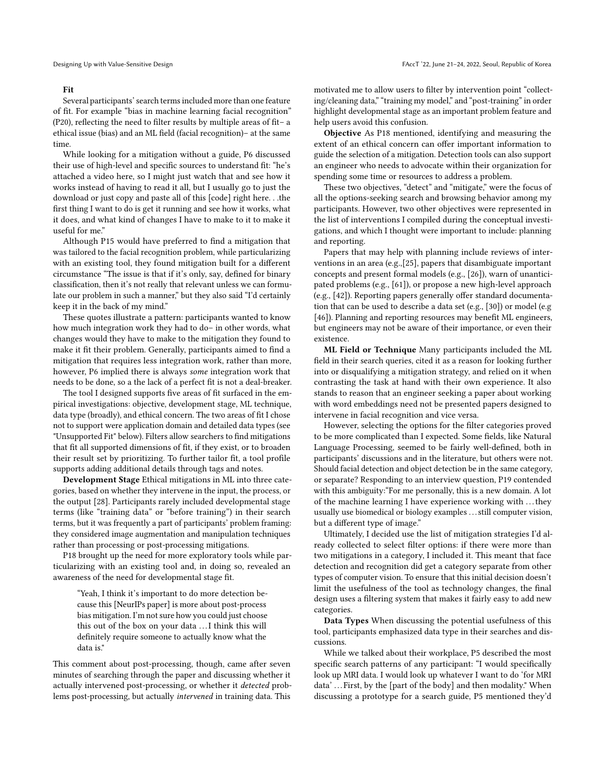#### Fit

Several participants' search terms included more than one feature of fit. For example "bias in machine learning facial recognition" (P20), reflecting the need to filter results by multiple areas of fit– a ethical issue (bias) and an ML field (facial recognition)– at the same time.

While looking for a mitigation without a guide, P6 discussed their use of high-level and specific sources to understand fit: "he's attached a video here, so I might just watch that and see how it works instead of having to read it all, but I usually go to just the download or just copy and paste all of this [code] right here. . .the first thing I want to do is get it running and see how it works, what it does, and what kind of changes I have to make to it to make it useful for me."

Although P15 would have preferred to find a mitigation that was tailored to the facial recognition problem, while particularizing with an existing tool, they found mitigation built for a different circumstance "The issue is that if it's only, say, defined for binary classification, then it's not really that relevant unless we can formulate our problem in such a manner," but they also said "I'd certainly keep it in the back of my mind."

These quotes illustrate a pattern: participants wanted to know how much integration work they had to do– in other words, what changes would they have to make to the mitigation they found to make it fit their problem. Generally, participants aimed to find a mitigation that requires less integration work, rather than more, however, P6 implied there is always some integration work that needs to be done, so a the lack of a perfect fit is not a deal-breaker.

The tool I designed supports five areas of fit surfaced in the empirical investigations: objective, development stage, ML technique, data type (broadly), and ethical concern. The two areas of fit I chose not to support were application domain and detailed data types (see "Unsupported Fit" below). Filters allow searchers to find mitigations that fit all supported dimensions of fit, if they exist, or to broaden their result set by prioritizing. To further tailor fit, a tool profile supports adding additional details through tags and notes.

Development Stage Ethical mitigations in ML into three categories, based on whether they intervene in the input, the process, or the output [\[28\]](#page-9-5). Participants rarely included developmental stage terms (like "training data" or "before training") in their search terms, but it was frequently a part of participants' problem framing: they considered image augmentation and manipulation techniques rather than processing or post-processing mitigations.

P18 brought up the need for more exploratory tools while particularizing with an existing tool and, in doing so, revealed an awareness of the need for developmental stage fit.

"Yeah, I think it's important to do more detection because this [NeurIPs paper] is more about post-process bias mitigation. I'm not sure how you could just choose this out of the box on your data . . .I think this will definitely require someone to actually know what the data is."

This comment about post-processing, though, came after seven minutes of searching through the paper and discussing whether it actually intervened post-processing, or whether it detected problems post-processing, but actually intervened in training data. This motivated me to allow users to filter by intervention point "collecting/cleaning data," "training my model," and "post-training" in order highlight developmental stage as an important problem feature and help users avoid this confusion.

Objective As P18 mentioned, identifying and measuring the extent of an ethical concern can offer important information to guide the selection of a mitigation. Detection tools can also support an engineer who needs to advocate within their organization for spending some time or resources to address a problem.

These two objectives, "detect" and "mitigate," were the focus of all the options-seeking search and browsing behavior among my participants. However, two other objectives were represented in the list of interventions I compiled during the conceptual investigations, and which I thought were important to include: planning and reporting.

Papers that may help with planning include reviews of interventions in an area (e.g.,[\[25\]](#page-9-6), papers that disambiguate important concepts and present formal models (e.g., [\[26\]](#page-9-27)), warn of unanticipated problems (e.g., [\[61\]](#page-10-25)), or propose a new high-level approach (e.g., [\[42\]](#page-10-20)). Reporting papers generally offer standard documentation that can be used to describe a data set (e.g., [\[30\]](#page-9-28)) or model (e.g [\[46\]](#page-10-30)). Planning and reporting resources may benefit ML engineers, but engineers may not be aware of their importance, or even their existence.

ML Field or Technique Many participants included the ML field in their search queries, cited it as a reason for looking further into or disqualifying a mitigation strategy, and relied on it when contrasting the task at hand with their own experience. It also stands to reason that an engineer seeking a paper about working with word embeddings need not be presented papers designed to intervene in facial recognition and vice versa.

However, selecting the options for the filter categories proved to be more complicated than I expected. Some fields, like Natural Language Processing, seemed to be fairly well-defined, both in participants' discussions and in the literature, but others were not. Should facial detection and object detection be in the same category, or separate? Responding to an interview question, P19 contended with this ambiguity:"For me personally, this is a new domain. A lot of the machine learning I have experience working with . . . they usually use biomedical or biology examples . . . still computer vision, but a different type of image."

Ultimately, I decided use the list of mitigation strategies I'd already collected to select filter options: if there were more than two mitigations in a category, I included it. This meant that face detection and recognition did get a category separate from other types of computer vision. To ensure that this initial decision doesn't limit the usefulness of the tool as technology changes, the final design uses a filtering system that makes it fairly easy to add new categories.

Data Types When discussing the potential usefulness of this tool, participants emphasized data type in their searches and discussions.

While we talked about their workplace, P5 described the most specific search patterns of any participant: "I would specifically look up MRI data. I would look up whatever I want to do 'for MRI data' . . . First, by the [part of the body] and then modality." When discussing a prototype for a search guide, P5 mentioned they'd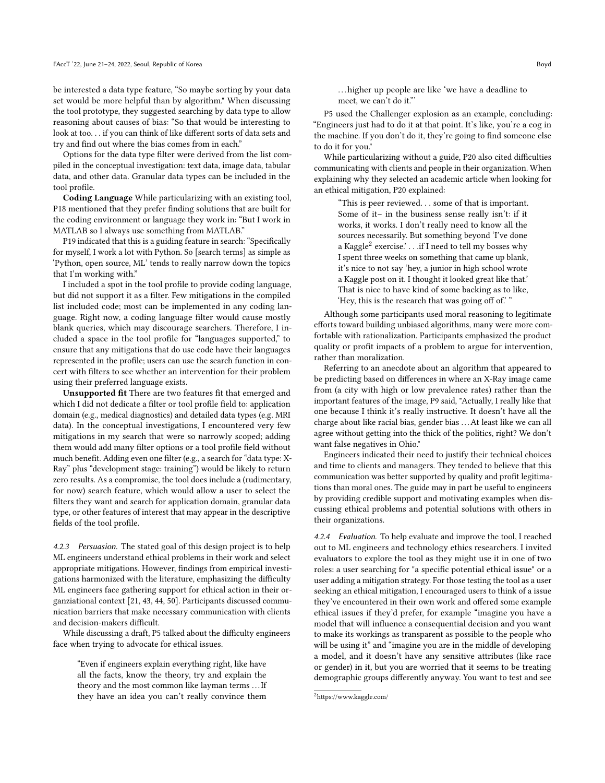be interested a data type feature, "So maybe sorting by your data set would be more helpful than by algorithm." When discussing the tool prototype, they suggested searching by data type to allow reasoning about causes of bias: "So that would be interesting to look at too. . . if you can think of like different sorts of data sets and try and find out where the bias comes from in each."

Options for the data type filter were derived from the list compiled in the conceptual investigation: text data, image data, tabular data, and other data. Granular data types can be included in the tool profile.

Coding Language While particularizing with an existing tool, P18 mentioned that they prefer finding solutions that are built for the coding environment or language they work in: "But I work in MATLAB so I always use something from MATLAB."

P19 indicated that this is a guiding feature in search: "Specifically for myself, I work a lot with Python. So [search terms] as simple as 'Python, open source, ML' tends to really narrow down the topics that I'm working with."

I included a spot in the tool profile to provide coding language, but did not support it as a filter. Few mitigations in the compiled list included code; most can be implemented in any coding language. Right now, a coding language filter would cause mostly blank queries, which may discourage searchers. Therefore, I included a space in the tool profile for "languages supported," to ensure that any mitigations that do use code have their languages represented in the profile; users can use the search function in concert with filters to see whether an intervention for their problem using their preferred language exists.

Unsupported fit There are two features fit that emerged and which I did not dedicate a filter or tool profile field to: application domain (e.g., medical diagnostics) and detailed data types (e.g. MRI data). In the conceptual investigations, I encountered very few mitigations in my search that were so narrowly scoped; adding them would add many filter options or a tool profile field without much benefit. Adding even one filter (e.g., a search for "data type: X-Ray" plus "development stage: training") would be likely to return zero results. As a compromise, the tool does include a (rudimentary, for now) search feature, which would allow a user to select the filters they want and search for application domain, granular data type, or other features of interest that may appear in the descriptive fields of the tool profile.

4.2.3 Persuasion. The stated goal of this design project is to help ML engineers understand ethical problems in their work and select appropriate mitigations. However, findings from empirical investigations harmonized with the literature, emphasizing the difficulty ML engineers face gathering support for ethical action in their organziational context [\[21,](#page-9-10) [43,](#page-10-31) [44,](#page-10-13) [50\]](#page-10-32). Participants discussed communication barriers that make necessary communication with clients and decision-makers difficult.

While discussing a draft, P5 talked about the difficulty engineers face when trying to advocate for ethical issues.

"Even if engineers explain everything right, like have all the facts, know the theory, try and explain the theory and the most common like layman terms . . .If they have an idea you can't really convince them

. . . higher up people are like 'we have a deadline to meet, we can't do it."'

P5 used the Challenger explosion as an example, concluding: "Engineers just had to do it at that point. It's like, you're a cog in the machine. If you don't do it, they're going to find someone else to do it for you."

While particularizing without a guide, P20 also cited difficulties communicating with clients and people in their organization. When explaining why they selected an academic article when looking for an ethical mitigation, P20 explained:

"This is peer reviewed. . . some of that is important. Some of it– in the business sense really isn't: if it works, it works. I don't really need to know all the sources necessarily. But something beyond 'I've done a Kaggle $^2$  $^2$  exercise.'  $\ldots$  .if I need to tell my bosses why I spent three weeks on something that came up blank, it's nice to not say 'hey, a junior in high school wrote a Kaggle post on it. I thought it looked great like that.' That is nice to have kind of some backing as to like, 'Hey, this is the research that was going off of.' "

Although some participants used moral reasoning to legitimate efforts toward building unbiased algorithms, many were more comfortable with rationalization. Participants emphasized the product quality or profit impacts of a problem to argue for intervention, rather than moralization.

Referring to an anecdote about an algorithm that appeared to be predicting based on differences in where an X-Ray image came from (a city with high or low prevalence rates) rather than the important features of the image, P9 said, "Actually, I really like that one because I think it's really instructive. It doesn't have all the charge about like racial bias, gender bias . . .At least like we can all agree without getting into the thick of the politics, right? We don't want false negatives in Ohio."

Engineers indicated their need to justify their technical choices and time to clients and managers. They tended to believe that this communication was better supported by quality and profit legitimations than moral ones. The guide may in part be useful to engineers by providing credible support and motivating examples when discussing ethical problems and potential solutions with others in their organizations.

4.2.4 Evaluation. To help evaluate and improve the tool, I reached out to ML engineers and technology ethics researchers. I invited evaluators to explore the tool as they might use it in one of two roles: a user searching for "a specific potential ethical issue" or a user adding a mitigation strategy. For those testing the tool as a user seeking an ethical mitigation, I encouraged users to think of a issue they've encountered in their own work and offered some example ethical issues if they'd prefer, for example "imagine you have a model that will influence a consequential decision and you want to make its workings as transparent as possible to the people who will be using it" and "imagine you are in the middle of developing a model, and it doesn't have any sensitive attributes (like race or gender) in it, but you are worried that it seems to be treating demographic groups differently anyway. You want to test and see

<span id="page-7-0"></span><sup>2</sup>https://www.kaggle.com/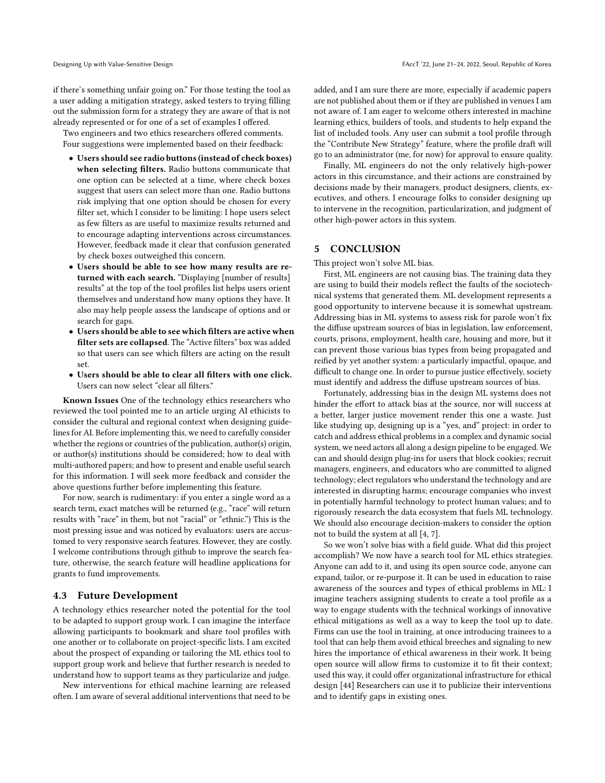if there's something unfair going on." For those testing the tool as a user adding a mitigation strategy, asked testers to trying filling out the submission form for a strategy they are aware of that is not already represented or for one of a set of examples I offered.

Two engineers and two ethics researchers offered comments. Four suggestions were implemented based on their feedback:

- Users should see radio buttons (instead of check boxes) when selecting filters. Radio buttons communicate that one option can be selected at a time, where check boxes suggest that users can select more than one. Radio buttons risk implying that one option should be chosen for every filter set, which I consider to be limiting: I hope users select as few filters as are useful to maximize results returned and to encourage adapting interventions across circumstances. However, feedback made it clear that confusion generated by check boxes outweighed this concern.
- Users should be able to see how many results are returned with each search. "Displaying [number of results] results" at the top of the tool profiles list helps users orient themselves and understand how many options they have. It also may help people assess the landscape of options and or search for gaps.
- Users should be able to see which filters are active when filter sets are collapsed. The "Active filters" box was added so that users can see which filters are acting on the result set.
- Users should be able to clear all filters with one click. Users can now select "clear all filters."

Known Issues One of the technology ethics researchers who reviewed the tool pointed me to an article urging AI ethicists to consider the cultural and regional context when designing guidelines for AI. Before implementing this, we need to carefully consider whether the regions or countries of the publication, author(s) origin, or author(s) institutions should be considered; how to deal with multi-authored papers; and how to present and enable useful search for this information. I will seek more feedback and consider the above questions further before implementing this feature.

For now, search is rudimentary: if you enter a single word as a search term, exact matches will be returned (e.g., "race" will return results with "race" in them, but not "racial" or "ethnic.") This is the most pressing issue and was noticed by evaluators: users are accustomed to very responsive search features. However, they are costly. I welcome contributions through github to improve the search feature, otherwise, the search feature will headline applications for grants to fund improvements.

## 4.3 Future Development

A technology ethics researcher noted the potential for the tool to be adapted to support group work. I can imagine the interface allowing participants to bookmark and share tool profiles with one another or to collaborate on project-specific lists. I am excited about the prospect of expanding or tailoring the ML ethics tool to support group work and believe that further research is needed to understand how to support teams as they particularize and judge.

New interventions for ethical machine learning are released often. I am aware of several additional interventions that need to be added, and I am sure there are more, especially if academic papers are not published about them or if they are published in venues I am not aware of. I am eager to welcome others interested in machine learning ethics, builders of tools, and students to help expand the list of included tools. Any user can submit a tool profile through the "Contribute New Strategy" feature, where the profile draft will go to an administrator (me, for now) for approval to ensure quality.

Finally, ML engineers do not the only relatively high-power actors in this circumstance, and their actions are constrained by decisions made by their managers, product designers, clients, executives, and others. I encourage folks to consider designing up to intervene in the recognition, particularization, and judgment of other high-power actors in this system.

# 5 CONCLUSION

This project won't solve ML bias.

First, ML engineers are not causing bias. The training data they are using to build their models reflect the faults of the sociotechnical systems that generated them. ML development represents a good opportunity to intervene because it is somewhat upstream. Addressing bias in ML systems to assess risk for parole won't fix the diffuse upstream sources of bias in legislation, law enforcement, courts, prisons, employment, health care, housing and more, but it can prevent those various bias types from being propagated and reified by yet another system: a particularly impactful, opaque, and difficult to change one. In order to pursue justice effectively, society must identify and address the diffuse upstream sources of bias.

Fortunately, addressing bias in the design ML systems does not hinder the effort to attack bias at the source, nor will success at a better, larger justice movement render this one a waste. Just like studying up, designing up is a "yes, and" project: in order to catch and address ethical problems in a complex and dynamic social system, we need actors all along a design pipeline to be engaged. We can and should design plug-ins for users that block cookies; recruit managers, engineers, and educators who are committed to aligned technology; elect regulators who understand the technology and are interested in disrupting harms; encourage companies who invest in potentially harmful technology to protect human values; and to rigorously research the data ecosystem that fuels ML technology. We should also encourage decision-makers to consider the option not to build the system at all [\[4,](#page-9-29) [7\]](#page-9-30).

So we won't solve bias with a field guide. What did this project accomplish? We now have a search tool for ML ethics strategies. Anyone can add to it, and using its open source code, anyone can expand, tailor, or re-purpose it. It can be used in education to raise awareness of the sources and types of ethical problems in ML: I imagine teachers assigning students to create a tool profile as a way to engage students with the technical workings of innovative ethical mitigations as well as a way to keep the tool up to date. Firms can use the tool in training, at once introducing trainees to a tool that can help them avoid ethical breeches and signaling to new hires the importance of ethical awareness in their work. It being open source will allow firms to customize it to fit their context; used this way, it could offer organizational infrastructure for ethical design [\[44\]](#page-10-13) Researchers can use it to publicize their interventions and to identify gaps in existing ones.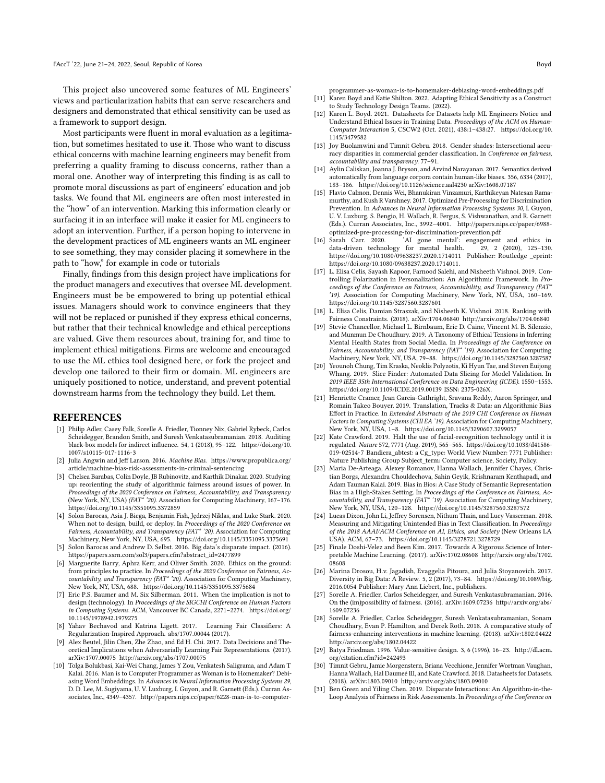This project also uncovered some features of ML Engineers' views and particularization habits that can serve researchers and designers and demonstrated that ethical sensitivity can be used as a framework to support design.

Most participants were fluent in moral evaluation as a legitimation, but sometimes hesitated to use it. Those who want to discuss ethical concerns with machine learning engineers may benefit from preferring a quality framing to discuss concerns, rather than a moral one. Another way of interpreting this finding is as call to promote moral discussions as part of engineers' education and job tasks. We found that ML engineers are often most interested in the "how" of an intervention. Marking this information clearly or surfacing it in an interface will make it easier for ML engineers to adopt an intervention. Further, if a person hoping to intervene in the development practices of ML engineers wants an ML engineer to see something, they may consider placing it somewhere in the path to "how," for example in code or tutorials

Finally, findings from this design project have implications for the product managers and executives that oversee ML development. Engineers must be be empowered to bring up potential ethical issues. Managers should work to convince engineers that they will not be replaced or punished if they express ethical concerns, but rather that their technical knowledge and ethical perceptions are valued. Give them resources about, training for, and time to implement ethical mitigations. Firms are welcome and encouraged to use the ML ethics tool designed here, or fork the project and develop one tailored to their firm or domain. ML engineers are uniquely positioned to notice, understand, and prevent potential downstream harms from the technology they build. Let them.

#### REFERENCES

- <span id="page-9-14"></span>[1] Philip Adler, Casey Falk, Sorelle A. Friedler, Tionney Nix, Gabriel Rybeck, Carlos Scheidegger, Brandon Smith, and Suresh Venkatasubramanian. 2018. Auditing black-box models for indirect influence. 54, 1 (2018), 95–122. [https://doi.org/10.](https://doi.org/10.1007/s10115-017-1116-3) [1007/s10115-017-1116-3](https://doi.org/10.1007/s10115-017-1116-3)
- <span id="page-9-2"></span>[2] Julia Angwin and Jeff Larson. 2016. Machine Bias. [https://www.propublica.org/](https://www.propublica.org/article/machine-bias-risk-assessments-in-criminal-sentencing) [article/machine-bias-risk-assessments-in-criminal-sentencing](https://www.propublica.org/article/machine-bias-risk-assessments-in-criminal-sentencing)
- <span id="page-9-9"></span>[3] Chelsea Barabas, Colin Doyle, JB Rubinovitz, and Karthik Dinakar. 2020. Studying up: reorienting the study of algorithmic fairness around issues of power. In Proceedings of the 2020 Conference on Fairness, Accountability, and Transparency (New York, NY, USA) (FAT\* '20). Association for Computing Machinery, 167–176. <https://doi.org/10.1145/3351095.3372859>
- <span id="page-9-29"></span>[4] Solon Barocas, Asia J. Biega, Benjamin Fish, Jędrzej Niklas, and Luke Stark. 2020. When not to design, build, or deploy. In Proceedings of the 2020 Conference on Fairness, Accountability, and Transparency (FAT\* '20). Association for Computing Machinery, New York, NY, USA, 695.<https://doi.org/10.1145/3351095.3375691>
- <span id="page-9-13"></span>[5] Solon Barocas and Andrew D. Selbst. 2016. Big data's disparate impact. (2016). [https://papers.ssrn.com/sol3/papers.cfm?abstract\\_id=2477899](https://papers.ssrn.com/sol3/papers.cfm?abstract_id=2477899)
- <span id="page-9-12"></span>[6] Marguerite Barry, Aphra Kerr, and Oliver Smith. 2020. Ethics on the ground: from principles to practice. In Proceedings of the 2020 Conference on Fairness, Accountability, and Transparency (FAT\* '20). Association for Computing Machinery, New York, NY, USA, 688.<https://doi.org/10.1145/3351095.3375684>
- <span id="page-9-30"></span>[7] Eric P.S. Baumer and M. Six Silberman. 2011. When the implication is not to design (technology). In Proceedings of the SIGCHI Conference on Human Factors in Computing Systems. ACM, Vancouver BC Canada, 2271–2274. [https://doi.org/](https://doi.org/10.1145/1978942.1979275) [10.1145/1978942.1979275](https://doi.org/10.1145/1978942.1979275)
- <span id="page-9-20"></span>[8] Yahav Bechavod and Katrina Ligett. 2017. Learning Fair Classifiers: A Regularization-Inspired Approach. abs/1707.00044 (2017).
- <span id="page-9-21"></span>[9] Alex Beutel, Jilin Chen, Zhe Zhao, and Ed H. Chi. 2017. Data Decisions and Theoretical Implications when Adversarially Learning Fair Representations. (2017). arXiv[:1707.00075](https://arxiv.org/abs/1707.00075)<http://arxiv.org/abs/1707.00075>
- <span id="page-9-15"></span>[10] Tolga Bolukbasi, Kai-Wei Chang, James Y Zou, Venkatesh Saligrama, and Adam T Kalai. 2016. Man is to Computer Programmer as Woman is to Homemaker? Debiasing Word Embeddings. In Advances in Neural Information Processing Systems 29, D. D. Lee, M. Sugiyama, U. V. Luxburg, I. Guyon, and R. Garnett (Eds.). Curran Associates, Inc., 4349–4357. [http://papers.nips.cc/paper/6228-man-is-to-computer-](http://papers.nips.cc/paper/6228-man-is-to-computer-programmer-as-woman-is-to-homemaker-debiasing-word-embeddings.pdf)
- <span id="page-9-8"></span>[11] Karen Boyd and Katie Shilton. 2022. Adapting Ethical Sensitivity as a Construct to Study Technology Design Teams. (2022).
- <span id="page-9-11"></span>[12] Karen L. Boyd. 2021. Datasheets for Datasets help ML Engineers Notice and Understand Ethical Issues in Training Data. Proceedings of the ACM on Human-Computer Interaction 5, CSCW2 (Oct. 2021), 438:1–438:27. [https://doi.org/10.](https://doi.org/10.1145/3479582) [1145/3479582](https://doi.org/10.1145/3479582)
- <span id="page-9-16"></span>[13] Joy Buolamwini and Timnit Gebru. 2018. Gender shades: Intersectional accuracy disparities in commercial gender classification. In Conference on fairness, accountability and transparency. 77–91.
- <span id="page-9-17"></span>[14] Aylin Caliskan, Joanna J. Bryson, and Arvind Narayanan. 2017. Semantics derived automatically from language corpora contain human-like biases. 356, 6334 (2017), 183–186.<https://doi.org/10.1126/science.aal4230> arXiv[:1608.07187](https://arxiv.org/abs/1608.07187)
- <span id="page-9-22"></span>[15] Flavio Calmon, Dennis Wei, Bhanukiran Vinzamuri, Karthikeyan Natesan Ramamurthy, and Kush R Varshney. 2017. Optimized Pre-Processing for Discrimination Prevention. In Advances in Neural Information Processing Systems 30, I. Guyon, U. V. Luxburg, S. Bengio, H. Wallach, R. Fergus, S. Vishwanathan, and R. Garnett (Eds.). Curran Associates, Inc., 3992–4001. [http://papers.nips.cc/paper/6988](http://papers.nips.cc/paper/6988-optimized-pre-processing-for-discrimination-prevention.pdf) [optimized-pre-processing-for-discrimination-prevention.pdf](http://papers.nips.cc/paper/6988-optimized-pre-processing-for-discrimination-prevention.pdf)
- <span id="page-9-0"></span> $\int_{0}^{1}$  Sarah Carrelian Carrelian Carrelian Carrelian Carrelian Carrelian Carrelian Carrelian Carrelian Carrelian Carrelian Carrelian Carrelian Carrelian Carrelian Carrelian Carrelian Carrelian Carrelian Carrelian Carr data-driven technology for mental health. <https://doi.org/10.1080/09638237.2020.1714011> Publisher: Routledge \_eprint: https://doi.org/10.1080/09638237.2020.1714011.
- <span id="page-9-25"></span>[17] L. Elisa Celis, Sayash Kapoor, Farnood Salehi, and Nisheeth Vishnoi. 2019. Controlling Polarization in Personalization: An Algorithmic Framework. In Proceedings of the Conference on Fairness, Accountability, and Transparency (FAT\* '19). Association for Computing Machinery, New York, NY, USA, 160–169. <https://doi.org/10.1145/3287560.3287601>
- <span id="page-9-23"></span>[18] L. Elisa Celis, Damian Straszak, and Nisheeth K. Vishnoi. 2018. Ranking with Fairness Constraints. (2018). arXiv[:1704.06840](https://arxiv.org/abs/1704.06840)<http://arxiv.org/abs/1704.06840>
- <span id="page-9-1"></span>[19] Stevie Chancellor, Michael L. Birnbaum, Eric D. Caine, Vincent M. B. Silenzio, and Munmun De Choudhury. 2019. A Taxonomy of Ethical Tensions in Inferring Mental Health States from Social Media. In Proceedings of the Conference on Fairness, Accountability, and Transparency (FAT\* '19). Association for Computing Machinery, New York, NY, USA, 79–88.<https://doi.org/10.1145/3287560.3287587>
- <span id="page-9-24"></span>[20] Yeounoh Chung, Tim Kraska, Neoklis Polyzotis, Ki Hyun Tae, and Steven Euijong Whang. 2019. Slice Finder: Automated Data Slicing for Model Validation. In 2019 IEEE 35th International Conference on Data Engineering (ICDE). 1550–1553. <https://doi.org/10.1109/ICDE.2019.00139> ISSN: 2375-026X.
- <span id="page-9-10"></span>[21] Henriette Cramer, Jean Garcia-Gathright, Sravana Reddy, Aaron Springer, and Romain Takeo Bouyer. 2019. Translation, Tracks & Data: an Algorithmic Bias Effort in Practice. In Extended Abstracts of the 2019 CHI Conference on Human Factors in Computing Systems (CHI EA '19). Association for Computing Machinery, New York, NY, USA, 1–8.<https://doi.org/10.1145/3290607.3299057>
- <span id="page-9-4"></span>[22] Kate Crawford. 2019. Halt the use of facial-recognition technology until it is regulated. Nature 572, 7771 (Aug. 2019), 565–565. [https://doi.org/10.1038/d41586-](https://doi.org/10.1038/d41586-019-02514-7) [019-02514-7](https://doi.org/10.1038/d41586-019-02514-7) Bandiera\_abtest: a Cg\_type: World View Number: 7771 Publisher: Nature Publishing Group Subject\_term: Computer science, Society, Policy.
- <span id="page-9-26"></span>[23] Maria De-Arteaga, Alexey Romanov, Hanna Wallach, Jennifer Chayes, Christian Borgs, Alexandra Chouldechova, Sahin Geyik, Krishnaram Kenthapadi, and Adam Tauman Kalai. 2019. Bias in Bios: A Case Study of Semantic Representation Bias in a High-Stakes Setting. In Proceedings of the Conference on Fairness, Accountability, and Transparency (FAT\* '19). Association for Computing Machinery, New York, NY, USA, 120–128.<https://doi.org/10.1145/3287560.3287572>
- <span id="page-9-18"></span>[24] Lucas Dixon, John Li, Jeffrey Sorensen, Nithum Thain, and Lucy Vasserman. 2018. Measuring and Mitigating Unintended Bias in Text Classification. In Proceedings of the 2018 AAAI/ACM Conference on AI, Ethics, and Society (New Orleans LA USA). ACM, 67–73.<https://doi.org/10.1145/3278721.3278729>
- <span id="page-9-6"></span>[25] Finale Doshi-Velez and Been Kim. 2017. Towards A Rigorous Science of Interpretable Machine Learning. (2017). arXiv[:1702.08608](https://arxiv.org/abs/1702.08608) [http://arxiv.org/abs/1702.](http://arxiv.org/abs/1702.08608) [08608](http://arxiv.org/abs/1702.08608)
- <span id="page-9-27"></span>[26] Marina Drosou, H.v. Jagadish, Evaggelia Pitoura, and Julia Stoyanovich. 2017. Diversity in Big Data: A Review. 5, 2 (2017), 73–84. [https://doi.org/10.1089/big.](https://doi.org/10.1089/big.2016.0054) [2016.0054](https://doi.org/10.1089/big.2016.0054) Publisher: Mary Ann Liebert, Inc., publishers.
- <span id="page-9-19"></span>[27] Sorelle A. Friedler, Carlos Scheidegger, and Suresh Venkatasubramanian. 2016. On the (im)possibility of fairness. (2016). arXiv[:1609.07236](https://arxiv.org/abs/1609.07236) [http://arxiv.org/abs/](http://arxiv.org/abs/1609.07236) [1609.07236](http://arxiv.org/abs/1609.07236)
- <span id="page-9-5"></span>[28] Sorelle A. Friedler, Carlos Scheidegger, Suresh Venkatasubramanian, Sonam Choudhary, Evan P. Hamilton, and Derek Roth. 2018. A comparative study of fairness-enhancing interventions in machine learning. (2018). arXiv[:1802.04422](https://arxiv.org/abs/1802.04422) <http://arxiv.org/abs/1802.04422>
- <span id="page-9-7"></span>[29] Batya Friedman. 1996. Value-sensitive design. 3, 6 (1996), 16–23. [http://dl.acm.](http://dl.acm.org/citation.cfm?id=242493) [org/citation.cfm?id=242493](http://dl.acm.org/citation.cfm?id=242493)
- <span id="page-9-28"></span>[30] Timnit Gebru, Jamie Morgenstern, Briana Vecchione, Jennifer Wortman Vaughan, Hanna Wallach, Hal Daumeé III, and Kate Crawford. 2018. Datasheets for Datasets. (2018). arXiv[:1803.09010](https://arxiv.org/abs/1803.09010)<http://arxiv.org/abs/1803.09010>
- <span id="page-9-3"></span>[31] Ben Green and Yiling Chen. 2019. Disparate Interactions: An Algorithm-in-the-Loop Analysis of Fairness in Risk Assessments. In Proceedings of the Conference on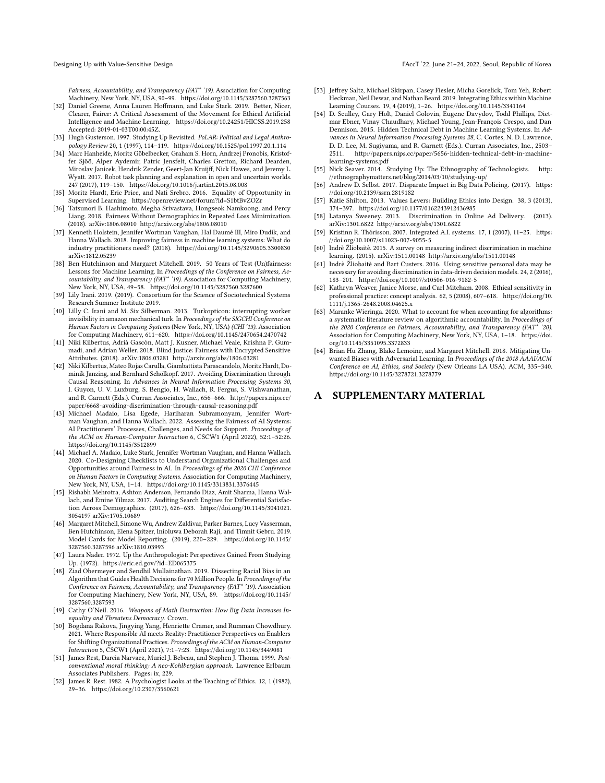Fairness, Accountability, and Transparency (FAT\* '19). Association for Computing Machinery, New York, NY, USA, 90–99.<https://doi.org/10.1145/3287560.3287563>

- <span id="page-10-6"></span>[32] Daniel Greene, Anna Lauren Hoffmann, and Luke Stark. 2019. Better, Nicer, Clearer, Fairer: A Critical Assessment of the Movement for Ethical Artificial Intelligence and Machine Learning.<https://doi.org/10.24251/HICSS.2019.258> Accepted: 2019-01-03T00:00:45Z.
- <span id="page-10-11"></span>[33] Hugh Gusterson. 1997. Studying Up Revisited. PoLAR: Political and Legal Anthropology Review 20, 1 (1997), 114–119.<https://doi.org/10.1525/pol.1997.20.1.114>
- <span id="page-10-27"></span>[34] Marc Hanheide, Moritz Göbelbecker, Graham S. Horn, Andrzej Pronobis, Kristoffer Sjöö, Alper Aydemir, Patric Jensfelt, Charles Gretton, Richard Dearden, Miroslav Janicek, Hendrik Zender, Geert-Jan Kruijff, Nick Hawes, and Jeremy L. Wyatt. 2017. Robot task planning and explanation in open and uncertain worlds. 247 (2017), 119–150.<https://doi.org/10.1016/j.artint.2015.08.008>
- <span id="page-10-23"></span>[35] Moritz Hardt, Eric Price, and Nati Srebro. 2016. Equality of Opportunity in Supervised Learning.<https://openreview.net/forum?id=S1btBvZOZr>
- <span id="page-10-24"></span>[36] Tatsunori B. Hashimoto, Megha Srivastava, Hongseok Namkoong, and Percy Liang. 2018. Fairness Without Demographics in Repeated Loss Minimization. (2018). arXiv[:1806.08010](https://arxiv.org/abs/1806.08010)<http://arxiv.org/abs/1806.08010>
- <span id="page-10-29"></span>[37] Kenneth Holstein, Jennifer Wortman Vaughan, Hal Daumé III, Miro Dudík, and Hanna Wallach. 2018. Improving fairness in machine learning systems: What do industry practitioners need? (2018).<https://doi.org/10.1145/3290605.3300830> arXiv[:1812.05239](https://arxiv.org/abs/1812.05239)
- <span id="page-10-3"></span>[38] Ben Hutchinson and Margaret Mitchell. 2019. 50 Years of Test (Un)fairness: Lessons for Machine Learning. In Proceedings of the Conference on Fairness, Accountability, and Transparency (FAT\* '19). Association for Computing Machinery, New York, NY, USA, 49–58.<https://doi.org/10.1145/3287560.3287600>
- <span id="page-10-14"></span>[39] Lily Irani. 2019. (2019). Consortium for the Science of Sociotechnical Systems Research Summer Institute 2019.
- <span id="page-10-15"></span>[40] Lilly C. Irani and M. Six Silberman. 2013. Turkopticon: interrupting worker invisibility in amazon mechanical turk. In Proceedings of the SIGCHI Conference on Human Factors in Computing Systems (New York, NY, USA) (CHI '13). Association for Computing Machinery, 611–620.<https://doi.org/10.1145/2470654.2470742>
- <span id="page-10-4"></span>[41] Niki Kilbertus, Adrià Gascón, Matt J. Kusner, Michael Veale, Krishna P. Gummadi, and Adrian Weller. 2018. Blind Justice: Fairness with Encrypted Sensitive Attributes. (2018). arXiv[:1806.03281](https://arxiv.org/abs/1806.03281)<http://arxiv.org/abs/1806.03281>
- <span id="page-10-20"></span>[42] Niki Kilbertus, Mateo Rojas Carulla, Giambattista Parascandolo, Moritz Hardt, Dominik Janzing, and Bernhard Schölkopf. 2017. Avoiding Discrimination through Causal Reasoning. In Advances in Neural Information Processing Systems 30, I. Guyon, U. V. Luxburg, S. Bengio, H. Wallach, R. Fergus, S. Vishwanathan, and R. Garnett (Eds.). Curran Associates, Inc., 656–666. [http://papers.nips.cc/](http://papers.nips.cc/paper/6668-avoiding-discrimination-through-causal-reasoning.pdf) [paper/6668-avoiding-discrimination-through-causal-reasoning.pdf](http://papers.nips.cc/paper/6668-avoiding-discrimination-through-causal-reasoning.pdf)
- <span id="page-10-31"></span>[43] Michael Madaio, Lisa Egede, Hariharan Subramonyam, Jennifer Wortman Vaughan, and Hanna Wallach. 2022. Assessing the Fairness of AI Systems: AI Practitioners' Processes, Challenges, and Needs for Support. Proceedings of the ACM on Human-Computer Interaction 6, CSCW1 (April 2022), 52:1–52:26. <https://doi.org/10.1145/3512899>
- <span id="page-10-13"></span>[44] Michael A. Madaio, Luke Stark, Jennifer Wortman Vaughan, and Hanna Wallach. 2020. Co-Designing Checklists to Understand Organizational Challenges and Opportunities around Fairness in AI. In Proceedings of the 2020 CHI Conference on Human Factors in Computing Systems. Association for Computing Machinery, New York, NY, USA, 1–14.<https://doi.org/10.1145/3313831.3376445>
- <span id="page-10-21"></span>[45] Rishabh Mehrotra, Ashton Anderson, Fernando Diaz, Amit Sharma, Hanna Wallach, and Emine Yilmaz. 2017. Auditing Search Engines for Differential Satisfaction Across Demographics. (2017), 626–633. [https://doi.org/10.1145/3041021.](https://doi.org/10.1145/3041021.3054197) [3054197](https://doi.org/10.1145/3041021.3054197) arXiv[:1705.10689](https://arxiv.org/abs/1705.10689)
- <span id="page-10-30"></span>[46] Margaret Mitchell, Simone Wu, Andrew Zaldivar, Parker Barnes, Lucy Vasserman, Ben Hutchinson, Elena Spitzer, Inioluwa Deborah Raji, and Timnit Gebru. 2019. Model Cards for Model Reporting. (2019), 220–229. [https://doi.org/10.1145/](https://doi.org/10.1145/3287560.3287596) [3287560.3287596](https://doi.org/10.1145/3287560.3287596) arXiv[:1810.03993](https://arxiv.org/abs/1810.03993)
- <span id="page-10-10"></span>[47] Laura Nader. 1972. Up the Anthropologist: Perspectives Gained From Studying Up. (1972).<https://eric.ed.gov/?id=ED065375>
- <span id="page-10-0"></span>[48] Ziad Obermeyer and Sendhil Mullainathan. 2019. Dissecting Racial Bias in an Algorithm that Guides Health Decisions for 70 Million People. In Proceedings of the Conference on Fairness, Accountability, and Transparency (FAT\* '19). Association for Computing Machinery, New York, NY, USA, 89. [https://doi.org/10.1145/](https://doi.org/10.1145/3287560.3287593) [3287560.3287593](https://doi.org/10.1145/3287560.3287593)
- <span id="page-10-1"></span>[49] Cathy O'Neil. 2016. Weapons of Math Destruction: How Big Data Increases Inequality and Threatens Democracy. Crown.
- <span id="page-10-32"></span>[50] Bogdana Rakova, Jingying Yang, Henriette Cramer, and Rumman Chowdhury. 2021. Where Responsible AI meets Reality: Practitioner Perspectives on Enablers for Shifting Organizational Practices. Proceedings of the ACM on Human-Computer Interaction 5, CSCW1 (April 2021), 7:1–7:23.<https://doi.org/10.1145/3449081>
- <span id="page-10-17"></span>[51] James Rest, Darcia Narvaez, Muriel J. Bebeau, and Stephen J. Thoma. 1999. Postconventional moral thinking: A neo-Kohlbergian approach. Lawrence Erlbaum Associates Publishers. Pages: ix, 229.
- <span id="page-10-18"></span>[52] James R. Rest. 1982. A Psychologist Looks at the Teaching of Ethics. 12, 1 (1982), 29–36.<https://doi.org/10.2307/3560621>
- <span id="page-10-7"></span>[53] Jeffrey Saltz, Michael Skirpan, Casey Fiesler, Micha Gorelick, Tom Yeh, Robert Heckman, Neil Dewar, and Nathan Beard. 2019. Integrating Ethics within Machine Learning Courses. 19, 4 (2019), 1–26.<https://doi.org/10.1145/3341164>
- <span id="page-10-19"></span>[54] D. Sculley, Gary Holt, Daniel Golovin, Eugene Davydov, Todd Phillips, Dietmar Ebner, Vinay Chaudhary, Michael Young, Jean-François Crespo, and Dan Dennison. 2015. Hidden Technical Debt in Machine Learning Systems. In Advances in Neural Information Processing Systems 28, C. Cortes, N. D. Lawrence, D. D. Lee, M. Sugiyama, and R. Garnett (Eds.). Curran Associates, Inc., 2503– 2511. [http://papers.nips.cc/paper/5656-hidden-technical-debt-in-machine](http://papers.nips.cc/paper/5656-hidden-technical-debt-in-machine-learning-systems.pdf)[learning-systems.pdf](http://papers.nips.cc/paper/5656-hidden-technical-debt-in-machine-learning-systems.pdf)
- <span id="page-10-12"></span>[55] Nick Seaver. 2014. Studying Up: The Ethnography of Technologists. [http:](http://ethnographymatters.net/blog/2014/03/10/studying-up/) [//ethnographymatters.net/blog/2014/03/10/studying-up/](http://ethnographymatters.net/blog/2014/03/10/studying-up/)
- <span id="page-10-2"></span>[56] Andrew D. Selbst. 2017. Disparate Impact in Big Data Policing. (2017). [https:](https://doi.org/10.2139/ssrn.2819182) [//doi.org/10.2139/ssrn.2819182](https://doi.org/10.2139/ssrn.2819182)
- <span id="page-10-9"></span>[57] Katie Shilton. 2013. Values Levers: Building Ethics into Design. 38, 3 (2013), 374–397.<https://doi.org/10.1177/0162243912436985>
- <span id="page-10-8"></span>[58] Latanya Sweeney. 2013. Discrimination in Online Ad Delivery. (2013). arXiv[:1301.6822](https://arxiv.org/abs/1301.6822)<http://arxiv.org/abs/1301.6822>
- <span id="page-10-28"></span>[59] Kristinn R. Thórisson. 2007. Integrated A.I. systems. 17, 1 (2007), 11–25. [https:](https://doi.org/10.1007/s11023-007-9055-5) [//doi.org/10.1007/s11023-007-9055-5](https://doi.org/10.1007/s11023-007-9055-5)
- <span id="page-10-22"></span>[60] Indrè Žliobaitè. 2015. A survey on measuring indirect discrimination in machine learning. (2015). arXiv[:1511.00148](https://arxiv.org/abs/1511.00148)<http://arxiv.org/abs/1511.00148>
- <span id="page-10-25"></span>[61] Indrè Žliobaitè and Bart Custers. 2016. Using sensitive personal data may be necessary for avoiding discrimination in data-driven decision models. 24, 2 (2016), 183–201.<https://doi.org/10.1007/s10506-016-9182-5>
- <span id="page-10-16"></span>[62] Kathryn Weaver, Janice Morse, and Carl Mitcham. 2008. Ethical sensitivity in professional practice: concept analysis. 62, 5 (2008), 607–618. [https://doi.org/10.](https://doi.org/10.1111/j.1365-2648.2008.04625.x) [1111/j.1365-2648.2008.04625.x](https://doi.org/10.1111/j.1365-2648.2008.04625.x)
- <span id="page-10-5"></span>[63] Maranke Wieringa. 2020. What to account for when accounting for algorithms: a systematic literature review on algorithmic accountability. In Proceedings of the 2020 Conference on Fairness, Accountability, and Transparency (FAT\* '20). Association for Computing Machinery, New York, NY, USA, 1–18. [https://doi.](https://doi.org/10.1145/3351095.3372833) [org/10.1145/3351095.3372833](https://doi.org/10.1145/3351095.3372833)
- <span id="page-10-26"></span>[64] Brian Hu Zhang, Blake Lemoine, and Margaret Mitchell. 2018. Mitigating Unwanted Biases with Adversarial Learning. In Proceedings of the 2018 AAAI/ACM Conference on AI, Ethics, and Society (New Orleans LA USA). ACM, 335–340. <https://doi.org/10.1145/3278721.3278779>

#### A SUPPLEMENTARY MATERIAL